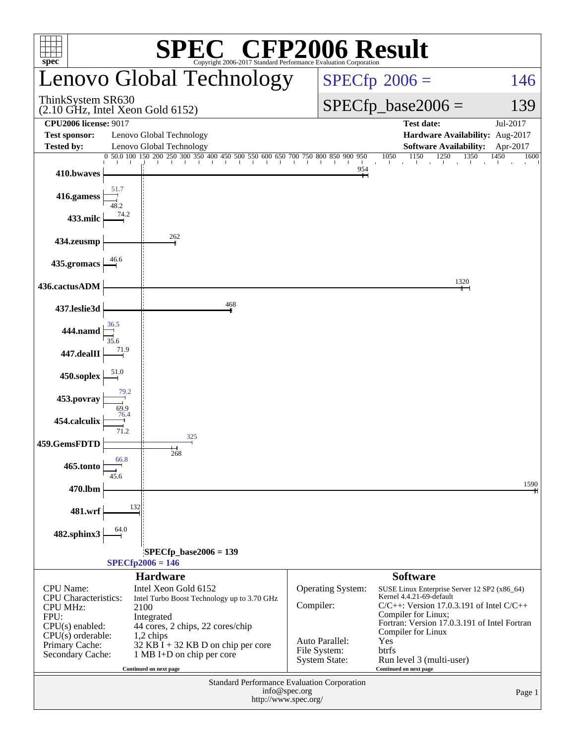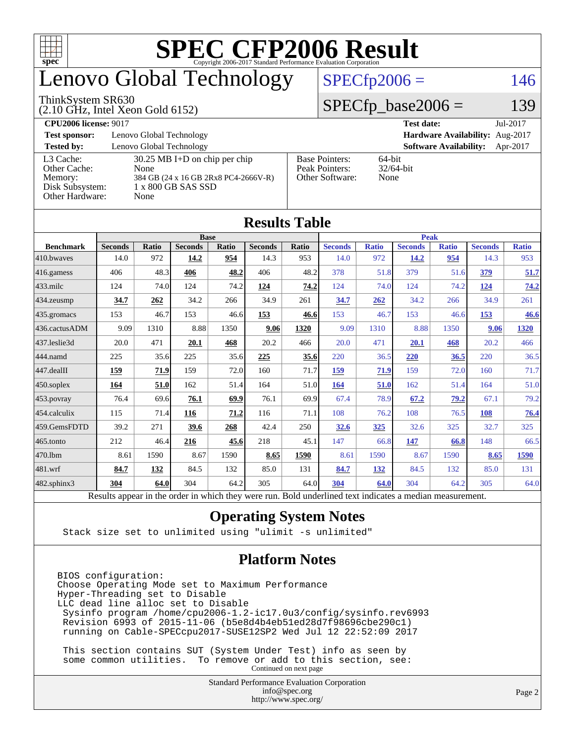

## enovo Global Technology

#### ThinkSystem SR630

(2.10 GHz, Intel Xeon Gold 6152)

 $SPECfp2006 = 146$  $SPECfp2006 = 146$ 

#### $SPECfp\_base2006 = 139$

| <b>CPU2006 license: 9017</b> |                                         |                       | Jul-2017<br><b>Test date:</b>             |
|------------------------------|-----------------------------------------|-----------------------|-------------------------------------------|
| <b>Test sponsor:</b>         | Lenovo Global Technology                |                       | Hardware Availability: Aug-2017           |
| <b>Tested by:</b>            | Lenovo Global Technology                |                       | <b>Software Availability:</b><br>Apr-2017 |
| L3 Cache:                    | $30.25 \text{ MB I+D}$ on chip per chip | <b>Base Pointers:</b> | $64$ -bit                                 |
| Other Cache:                 | None                                    | Peak Pointers:        | $32/64$ -bit                              |
| Memory:                      | 384 GB (24 x 16 GB 2Rx8 PC4-2666V-R)    | Other Software:       | None                                      |
| Disk Subsystem:              | 1 x 800 GB SAS SSD                      |                       |                                           |
| Other Hardware:              | None                                    |                       |                                           |

**[Results Table](http://www.spec.org/auto/cpu2006/Docs/result-fields.html#ResultsTable)**

|                   |                                                                                                          |              |                |             | Results Table  |       |                |              |                |              |                |              |
|-------------------|----------------------------------------------------------------------------------------------------------|--------------|----------------|-------------|----------------|-------|----------------|--------------|----------------|--------------|----------------|--------------|
|                   |                                                                                                          |              |                | <b>Base</b> |                |       | <b>Peak</b>    |              |                |              |                |              |
| <b>Benchmark</b>  | <b>Seconds</b>                                                                                           | <b>Ratio</b> | <b>Seconds</b> | Ratio       | <b>Seconds</b> | Ratio | <b>Seconds</b> | <b>Ratio</b> | <b>Seconds</b> | <b>Ratio</b> | <b>Seconds</b> | <b>Ratio</b> |
| 410.bwayes        | 14.0                                                                                                     | 972          | 14.2           | 954         | 14.3           | 953   | 14.0           | 972          | 14.2           | 954          | 14.3           | 953          |
| 416.gamess        | 406                                                                                                      | 48.3         | 406            | 48.2        | 406            | 48.2  | 378            | 51.8         | 379            | 51.6         | 379            | 51.7         |
| $433$ .milc       | 124                                                                                                      | 74.0         | 124            | 74.2        | 124            | 74.2  | 124            | 74.0         | 124            | 74.2         | 124            | 74.2         |
| 434.zeusmp        | 34.7                                                                                                     | 262          | 34.2           | 266         | 34.9           | 261   | 34.7           | 262          | 34.2           | 266          | 34.9           | 261          |
| 435.gromacs       | 153                                                                                                      | 46.7         | 153            | 46.6        | 153            | 46.6  | 153            | 46.7         | 153            | 46.6         | 153            | 46.6         |
| 436.cactusADM     | 9.09                                                                                                     | 1310         | 8.88           | 1350        | 9.06           | 1320  | 9.09           | 1310         | 8.88           | 1350         | 9.06           | 1320         |
| 437.leslie3d      | 20.0                                                                                                     | 471          | 20.1           | 468         | 20.2           | 466   | 20.0           | 471          | 20.1           | 468          | 20.2           | 466          |
| 444.namd          | 225                                                                                                      | 35.6         | 225            | 35.6        | 225            | 35.6  | 220            | 36.5         | 220            | 36.5         | 220            | 36.5         |
| 447.dealII        | 159                                                                                                      | 71.9         | 159            | 72.0        | 160            | 71.7  | 159            | 71.9         | 159            | 72.0         | 160            | 71.7         |
| $450$ .soplex     | 164                                                                                                      | 51.0         | 162            | 51.4        | 164            | 51.0  | 164            | 51.0         | 162            | 51.4         | 164            | 51.0         |
| 453.povray        | 76.4                                                                                                     | 69.6         | 76.1           | 69.9        | 76.1           | 69.9  | 67.4           | 78.9         | 67.2           | 79.2         | 67.1           | 79.2         |
| $ 454$ .calculix  | 115                                                                                                      | 71.4         | 116            | 71.2        | 116            | 71.1  | 108            | 76.2         | 108            | 76.5         | 108            | 76.4         |
| 459.GemsFDTD      | 39.2                                                                                                     | 271          | 39.6           | 268         | 42.4           | 250   | 32.6           | 325          | 32.6           | 325          | 32.7           | 325          |
| 465.tonto         | 212                                                                                                      | 46.4         | 216            | 45.6        | 218            | 45.1  | 147            | 66.8         | 147            | 66.8         | 148            | 66.5         |
| 470.1bm           | 8.61                                                                                                     | 1590         | 8.67           | 1590        | 8.65           | 1590  | 8.61           | 1590         | 8.67           | 1590         | 8.65           | 1590         |
| 481.wrf           | 84.7                                                                                                     | 132          | 84.5           | 132         | 85.0           | 131   | 84.7           | 132          | 84.5           | 132          | 85.0           | 131          |
| $482$ .sphinx $3$ | 304                                                                                                      | 64.0         | 304            | 64.2        | 305            | 64.0  | 304            | 64.0         | 304            | 64.2         | 305            | 64.0         |
|                   | Results appear in the order in which they were run. Bold underlined text indicates a median measurement. |              |                |             |                |       |                |              |                |              |                |              |

#### **[Operating System Notes](http://www.spec.org/auto/cpu2006/Docs/result-fields.html#OperatingSystemNotes)**

Stack size set to unlimited using "ulimit -s unlimited"

#### **[Platform Notes](http://www.spec.org/auto/cpu2006/Docs/result-fields.html#PlatformNotes)**

BIOS configuration: Choose Operating Mode set to Maximum Performance Hyper-Threading set to Disable LLC dead line alloc set to Disable Sysinfo program /home/cpu2006-1.2-ic17.0u3/config/sysinfo.rev6993 Revision 6993 of 2015-11-06 (b5e8d4b4eb51ed28d7f98696cbe290c1) running on Cable-SPECcpu2017-SUSE12SP2 Wed Jul 12 22:52:09 2017

 This section contains SUT (System Under Test) info as seen by some common utilities. To remove or add to this section, see: Continued on next page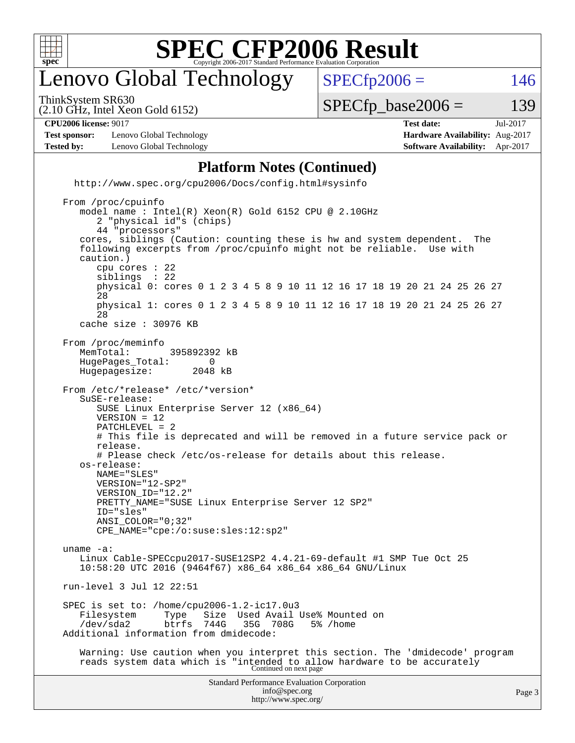

### enovo Global Technology

ThinkSystem SR630

 $SPECTp2006 = 146$ 

(2.10 GHz, Intel Xeon Gold 6152)

 $SPECTp\_base2006 = 139$ 

| <b>CPU2006 license: 9017</b> |                          | Jul-2017<br><b>Test date:</b>          |  |  |  |  |
|------------------------------|--------------------------|----------------------------------------|--|--|--|--|
| <b>Test sponsor:</b>         | Lenovo Global Technology | <b>Hardware Availability:</b> Aug-2017 |  |  |  |  |
| <b>Tested by:</b>            | Lenovo Global Technology | <b>Software Availability:</b> Apr-2017 |  |  |  |  |

#### **[Platform Notes \(Continued\)](http://www.spec.org/auto/cpu2006/Docs/result-fields.html#PlatformNotes)**

Standard Performance Evaluation Corporation [info@spec.org](mailto:info@spec.org) <http://www.spec.org/cpu2006/Docs/config.html#sysinfo> From /proc/cpuinfo model name : Intel(R) Xeon(R) Gold 6152 CPU @ 2.10GHz 2 "physical id"s (chips) 44 "processors" cores, siblings (Caution: counting these is hw and system dependent. The following excerpts from /proc/cpuinfo might not be reliable. Use with caution.) cpu cores : 22 siblings physical 0: cores 0 1 2 3 4 5 8 9 10 11 12 16 17 18 19 20 21 24 25 26 27 28 physical 1: cores 0 1 2 3 4 5 8 9 10 11 12 16 17 18 19 20 21 24 25 26 27 28 cache size : 30976 KB From /proc/meminfo MemTotal: 395892392 kB<br>HugePages Total: 0 HugePages\_Total: 0 Hugepagesize: 2048 kB From /etc/\*release\* /etc/\*version\* SuSE-release: SUSE Linux Enterprise Server 12 (x86\_64) VERSION = 12 PATCHLEVEL = 2 # This file is deprecated and will be removed in a future service pack or release. # Please check /etc/os-release for details about this release. os-release: NAME="SLES" VERSION="12-SP2" VERSION\_ID="12.2" PRETTY NAME="SUSE Linux Enterprise Server 12 SP2" ID="sles" ANSI\_COLOR="0;32" CPE\_NAME="cpe:/o:suse:sles:12:sp2" uname -a: Linux Cable-SPECcpu2017-SUSE12SP2 4.4.21-69-default #1 SMP Tue Oct 25 10:58:20 UTC 2016 (9464f67) x86\_64 x86\_64 x86\_64 GNU/Linux run-level 3 Jul 12 22:51 SPEC is set to: /home/cpu2006-1.2-ic17.0u3 Filesystem Type Size Used Avail Use% Mounted on<br>
/dev/sda2 btrfs 744G 35G 708G 5% /home 35G 708G 5% /home Additional information from dmidecode: Warning: Use caution when you interpret this section. The 'dmidecode' program reads system data which is "intended to allow hardware to be accurately Continued on next page

<http://www.spec.org/>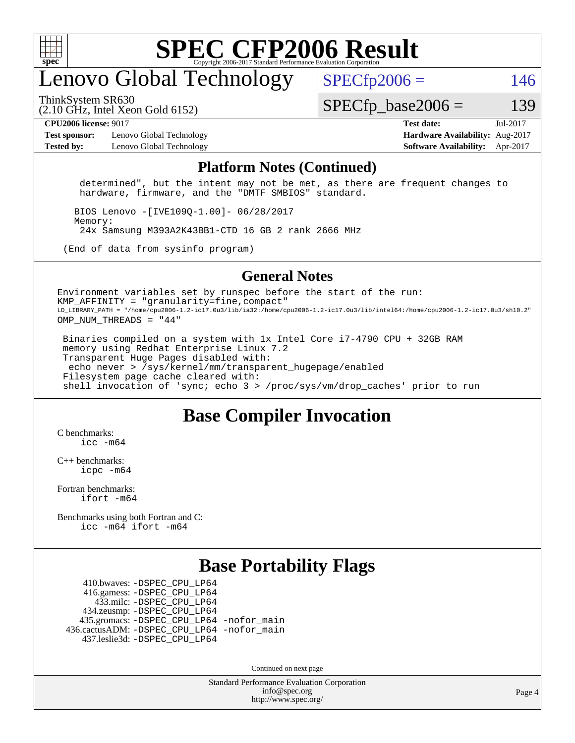

### enovo Global Technology

ThinkSystem SR630

 $SPECfp2006 = 146$  $SPECfp2006 = 146$ 

(2.10 GHz, Intel Xeon Gold 6152)

 $SPECTp\_base2006 = 139$ 

**[Test sponsor:](http://www.spec.org/auto/cpu2006/Docs/result-fields.html#Testsponsor)** Lenovo Global Technology **[Hardware Availability:](http://www.spec.org/auto/cpu2006/Docs/result-fields.html#HardwareAvailability)** Aug-2017 **[Tested by:](http://www.spec.org/auto/cpu2006/Docs/result-fields.html#Testedby)** Lenovo Global Technology **[Software Availability:](http://www.spec.org/auto/cpu2006/Docs/result-fields.html#SoftwareAvailability)** Apr-2017

**[CPU2006 license:](http://www.spec.org/auto/cpu2006/Docs/result-fields.html#CPU2006license)** 9017 **[Test date:](http://www.spec.org/auto/cpu2006/Docs/result-fields.html#Testdate)** Jul-2017

#### **[Platform Notes \(Continued\)](http://www.spec.org/auto/cpu2006/Docs/result-fields.html#PlatformNotes)**

 determined", but the intent may not be met, as there are frequent changes to hardware, firmware, and the "DMTF SMBIOS" standard.

 BIOS Lenovo -[IVE109Q-1.00]- 06/28/2017 Memory: 24x Samsung M393A2K43BB1-CTD 16 GB 2 rank 2666 MHz

(End of data from sysinfo program)

#### **[General Notes](http://www.spec.org/auto/cpu2006/Docs/result-fields.html#GeneralNotes)**

Environment variables set by runspec before the start of the run:  $KMP$  AFFINITY = "granularity=fine, compact" LD\_LIBRARY\_PATH = "/home/cpu2006-1.2-ic17.0u3/lib/ia32:/home/cpu2006-1.2-ic17.0u3/lib/intel64:/home/cpu2006-1.2-ic17.0u3/sh10.2" OMP\_NUM\_THREADS = "44"

 Binaries compiled on a system with 1x Intel Core i7-4790 CPU + 32GB RAM memory using Redhat Enterprise Linux 7.2 Transparent Huge Pages disabled with: echo never > /sys/kernel/mm/transparent\_hugepage/enabled Filesystem page cache cleared with: shell invocation of 'sync; echo 3 > /proc/sys/vm/drop\_caches' prior to run

#### **[Base Compiler Invocation](http://www.spec.org/auto/cpu2006/Docs/result-fields.html#BaseCompilerInvocation)**

[C benchmarks](http://www.spec.org/auto/cpu2006/Docs/result-fields.html#Cbenchmarks): [icc -m64](http://www.spec.org/cpu2006/results/res2017q4/cpu2006-20170918-49527.flags.html#user_CCbase_intel_icc_64bit_bda6cc9af1fdbb0edc3795bac97ada53)

[C++ benchmarks:](http://www.spec.org/auto/cpu2006/Docs/result-fields.html#CXXbenchmarks) [icpc -m64](http://www.spec.org/cpu2006/results/res2017q4/cpu2006-20170918-49527.flags.html#user_CXXbase_intel_icpc_64bit_fc66a5337ce925472a5c54ad6a0de310)

[Fortran benchmarks](http://www.spec.org/auto/cpu2006/Docs/result-fields.html#Fortranbenchmarks): [ifort -m64](http://www.spec.org/cpu2006/results/res2017q4/cpu2006-20170918-49527.flags.html#user_FCbase_intel_ifort_64bit_ee9d0fb25645d0210d97eb0527dcc06e)

[Benchmarks using both Fortran and C](http://www.spec.org/auto/cpu2006/Docs/result-fields.html#BenchmarksusingbothFortranandC): [icc -m64](http://www.spec.org/cpu2006/results/res2017q4/cpu2006-20170918-49527.flags.html#user_CC_FCbase_intel_icc_64bit_bda6cc9af1fdbb0edc3795bac97ada53) [ifort -m64](http://www.spec.org/cpu2006/results/res2017q4/cpu2006-20170918-49527.flags.html#user_CC_FCbase_intel_ifort_64bit_ee9d0fb25645d0210d97eb0527dcc06e)

#### **[Base Portability Flags](http://www.spec.org/auto/cpu2006/Docs/result-fields.html#BasePortabilityFlags)**

 410.bwaves: [-DSPEC\\_CPU\\_LP64](http://www.spec.org/cpu2006/results/res2017q4/cpu2006-20170918-49527.flags.html#suite_basePORTABILITY410_bwaves_DSPEC_CPU_LP64) 416.gamess: [-DSPEC\\_CPU\\_LP64](http://www.spec.org/cpu2006/results/res2017q4/cpu2006-20170918-49527.flags.html#suite_basePORTABILITY416_gamess_DSPEC_CPU_LP64) 433.milc: [-DSPEC\\_CPU\\_LP64](http://www.spec.org/cpu2006/results/res2017q4/cpu2006-20170918-49527.flags.html#suite_basePORTABILITY433_milc_DSPEC_CPU_LP64) 434.zeusmp: [-DSPEC\\_CPU\\_LP64](http://www.spec.org/cpu2006/results/res2017q4/cpu2006-20170918-49527.flags.html#suite_basePORTABILITY434_zeusmp_DSPEC_CPU_LP64) 435.gromacs: [-DSPEC\\_CPU\\_LP64](http://www.spec.org/cpu2006/results/res2017q4/cpu2006-20170918-49527.flags.html#suite_basePORTABILITY435_gromacs_DSPEC_CPU_LP64) [-nofor\\_main](http://www.spec.org/cpu2006/results/res2017q4/cpu2006-20170918-49527.flags.html#user_baseLDPORTABILITY435_gromacs_f-nofor_main) 436.cactusADM: [-DSPEC\\_CPU\\_LP64](http://www.spec.org/cpu2006/results/res2017q4/cpu2006-20170918-49527.flags.html#suite_basePORTABILITY436_cactusADM_DSPEC_CPU_LP64) [-nofor\\_main](http://www.spec.org/cpu2006/results/res2017q4/cpu2006-20170918-49527.flags.html#user_baseLDPORTABILITY436_cactusADM_f-nofor_main) 437.leslie3d: [-DSPEC\\_CPU\\_LP64](http://www.spec.org/cpu2006/results/res2017q4/cpu2006-20170918-49527.flags.html#suite_basePORTABILITY437_leslie3d_DSPEC_CPU_LP64)

Continued on next page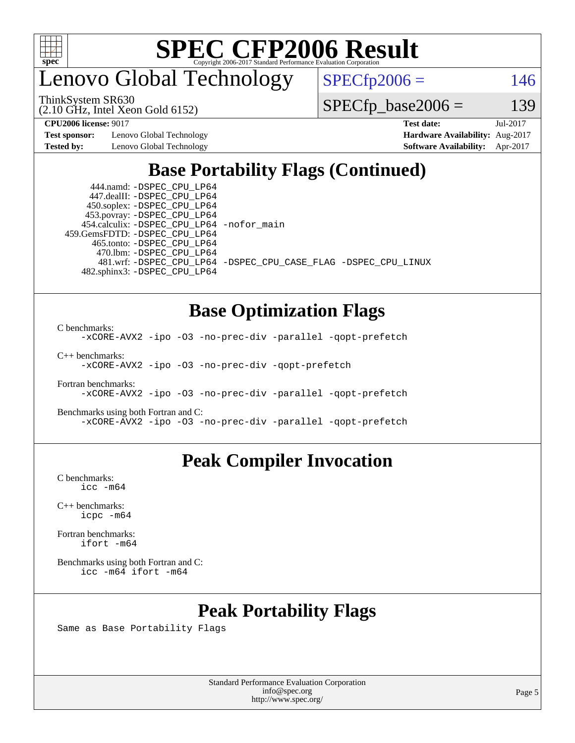

enovo Global Technology

 $SPECTp2006 = 146$ 

ThinkSystem SR630

(2.10 GHz, Intel Xeon Gold 6152)

**[Test sponsor:](http://www.spec.org/auto/cpu2006/Docs/result-fields.html#Testsponsor)** Lenovo Global Technology **[Hardware Availability:](http://www.spec.org/auto/cpu2006/Docs/result-fields.html#HardwareAvailability)** Aug-2017 **[Tested by:](http://www.spec.org/auto/cpu2006/Docs/result-fields.html#Testedby)** Lenovo Global Technology **[Software Availability:](http://www.spec.org/auto/cpu2006/Docs/result-fields.html#SoftwareAvailability)** Apr-2017

 $SPECTp\_base2006 = 139$ **[CPU2006 license:](http://www.spec.org/auto/cpu2006/Docs/result-fields.html#CPU2006license)** 9017 **[Test date:](http://www.spec.org/auto/cpu2006/Docs/result-fields.html#Testdate)** Jul-2017

### **[Base Portability Flags \(Continued\)](http://www.spec.org/auto/cpu2006/Docs/result-fields.html#BasePortabilityFlags)**

 444.namd: [-DSPEC\\_CPU\\_LP64](http://www.spec.org/cpu2006/results/res2017q4/cpu2006-20170918-49527.flags.html#suite_basePORTABILITY444_namd_DSPEC_CPU_LP64) 447.dealII: [-DSPEC\\_CPU\\_LP64](http://www.spec.org/cpu2006/results/res2017q4/cpu2006-20170918-49527.flags.html#suite_basePORTABILITY447_dealII_DSPEC_CPU_LP64) 450.soplex: [-DSPEC\\_CPU\\_LP64](http://www.spec.org/cpu2006/results/res2017q4/cpu2006-20170918-49527.flags.html#suite_basePORTABILITY450_soplex_DSPEC_CPU_LP64) 453.povray: [-DSPEC\\_CPU\\_LP64](http://www.spec.org/cpu2006/results/res2017q4/cpu2006-20170918-49527.flags.html#suite_basePORTABILITY453_povray_DSPEC_CPU_LP64) 454.calculix: [-DSPEC\\_CPU\\_LP64](http://www.spec.org/cpu2006/results/res2017q4/cpu2006-20170918-49527.flags.html#suite_basePORTABILITY454_calculix_DSPEC_CPU_LP64) [-nofor\\_main](http://www.spec.org/cpu2006/results/res2017q4/cpu2006-20170918-49527.flags.html#user_baseLDPORTABILITY454_calculix_f-nofor_main) 459.GemsFDTD: [-DSPEC\\_CPU\\_LP64](http://www.spec.org/cpu2006/results/res2017q4/cpu2006-20170918-49527.flags.html#suite_basePORTABILITY459_GemsFDTD_DSPEC_CPU_LP64) 465.tonto: [-DSPEC\\_CPU\\_LP64](http://www.spec.org/cpu2006/results/res2017q4/cpu2006-20170918-49527.flags.html#suite_basePORTABILITY465_tonto_DSPEC_CPU_LP64) 470.lbm: [-DSPEC\\_CPU\\_LP64](http://www.spec.org/cpu2006/results/res2017q4/cpu2006-20170918-49527.flags.html#suite_basePORTABILITY470_lbm_DSPEC_CPU_LP64) 482.sphinx3: [-DSPEC\\_CPU\\_LP64](http://www.spec.org/cpu2006/results/res2017q4/cpu2006-20170918-49527.flags.html#suite_basePORTABILITY482_sphinx3_DSPEC_CPU_LP64)

481.wrf: [-DSPEC\\_CPU\\_LP64](http://www.spec.org/cpu2006/results/res2017q4/cpu2006-20170918-49527.flags.html#suite_basePORTABILITY481_wrf_DSPEC_CPU_LP64) [-DSPEC\\_CPU\\_CASE\\_FLAG](http://www.spec.org/cpu2006/results/res2017q4/cpu2006-20170918-49527.flags.html#b481.wrf_baseCPORTABILITY_DSPEC_CPU_CASE_FLAG) [-DSPEC\\_CPU\\_LINUX](http://www.spec.org/cpu2006/results/res2017q4/cpu2006-20170918-49527.flags.html#b481.wrf_baseCPORTABILITY_DSPEC_CPU_LINUX)

**[Base Optimization Flags](http://www.spec.org/auto/cpu2006/Docs/result-fields.html#BaseOptimizationFlags)**

[C benchmarks](http://www.spec.org/auto/cpu2006/Docs/result-fields.html#Cbenchmarks):

[-xCORE-AVX2](http://www.spec.org/cpu2006/results/res2017q4/cpu2006-20170918-49527.flags.html#user_CCbase_f-xCORE-AVX2) [-ipo](http://www.spec.org/cpu2006/results/res2017q4/cpu2006-20170918-49527.flags.html#user_CCbase_f-ipo) [-O3](http://www.spec.org/cpu2006/results/res2017q4/cpu2006-20170918-49527.flags.html#user_CCbase_f-O3) [-no-prec-div](http://www.spec.org/cpu2006/results/res2017q4/cpu2006-20170918-49527.flags.html#user_CCbase_f-no-prec-div) [-parallel](http://www.spec.org/cpu2006/results/res2017q4/cpu2006-20170918-49527.flags.html#user_CCbase_f-parallel) [-qopt-prefetch](http://www.spec.org/cpu2006/results/res2017q4/cpu2006-20170918-49527.flags.html#user_CCbase_f-qopt-prefetch)

[C++ benchmarks:](http://www.spec.org/auto/cpu2006/Docs/result-fields.html#CXXbenchmarks) [-xCORE-AVX2](http://www.spec.org/cpu2006/results/res2017q4/cpu2006-20170918-49527.flags.html#user_CXXbase_f-xCORE-AVX2) [-ipo](http://www.spec.org/cpu2006/results/res2017q4/cpu2006-20170918-49527.flags.html#user_CXXbase_f-ipo) [-O3](http://www.spec.org/cpu2006/results/res2017q4/cpu2006-20170918-49527.flags.html#user_CXXbase_f-O3) [-no-prec-div](http://www.spec.org/cpu2006/results/res2017q4/cpu2006-20170918-49527.flags.html#user_CXXbase_f-no-prec-div) [-qopt-prefetch](http://www.spec.org/cpu2006/results/res2017q4/cpu2006-20170918-49527.flags.html#user_CXXbase_f-qopt-prefetch)

[Fortran benchmarks](http://www.spec.org/auto/cpu2006/Docs/result-fields.html#Fortranbenchmarks): [-xCORE-AVX2](http://www.spec.org/cpu2006/results/res2017q4/cpu2006-20170918-49527.flags.html#user_FCbase_f-xCORE-AVX2) [-ipo](http://www.spec.org/cpu2006/results/res2017q4/cpu2006-20170918-49527.flags.html#user_FCbase_f-ipo) [-O3](http://www.spec.org/cpu2006/results/res2017q4/cpu2006-20170918-49527.flags.html#user_FCbase_f-O3) [-no-prec-div](http://www.spec.org/cpu2006/results/res2017q4/cpu2006-20170918-49527.flags.html#user_FCbase_f-no-prec-div) [-parallel](http://www.spec.org/cpu2006/results/res2017q4/cpu2006-20170918-49527.flags.html#user_FCbase_f-parallel) [-qopt-prefetch](http://www.spec.org/cpu2006/results/res2017q4/cpu2006-20170918-49527.flags.html#user_FCbase_f-qopt-prefetch)

[Benchmarks using both Fortran and C](http://www.spec.org/auto/cpu2006/Docs/result-fields.html#BenchmarksusingbothFortranandC): [-xCORE-AVX2](http://www.spec.org/cpu2006/results/res2017q4/cpu2006-20170918-49527.flags.html#user_CC_FCbase_f-xCORE-AVX2) [-ipo](http://www.spec.org/cpu2006/results/res2017q4/cpu2006-20170918-49527.flags.html#user_CC_FCbase_f-ipo) [-O3](http://www.spec.org/cpu2006/results/res2017q4/cpu2006-20170918-49527.flags.html#user_CC_FCbase_f-O3) [-no-prec-div](http://www.spec.org/cpu2006/results/res2017q4/cpu2006-20170918-49527.flags.html#user_CC_FCbase_f-no-prec-div) [-parallel](http://www.spec.org/cpu2006/results/res2017q4/cpu2006-20170918-49527.flags.html#user_CC_FCbase_f-parallel) [-qopt-prefetch](http://www.spec.org/cpu2006/results/res2017q4/cpu2006-20170918-49527.flags.html#user_CC_FCbase_f-qopt-prefetch)

#### **[Peak Compiler Invocation](http://www.spec.org/auto/cpu2006/Docs/result-fields.html#PeakCompilerInvocation)**

[C benchmarks](http://www.spec.org/auto/cpu2006/Docs/result-fields.html#Cbenchmarks): [icc -m64](http://www.spec.org/cpu2006/results/res2017q4/cpu2006-20170918-49527.flags.html#user_CCpeak_intel_icc_64bit_bda6cc9af1fdbb0edc3795bac97ada53)

[C++ benchmarks:](http://www.spec.org/auto/cpu2006/Docs/result-fields.html#CXXbenchmarks) [icpc -m64](http://www.spec.org/cpu2006/results/res2017q4/cpu2006-20170918-49527.flags.html#user_CXXpeak_intel_icpc_64bit_fc66a5337ce925472a5c54ad6a0de310)

[Fortran benchmarks](http://www.spec.org/auto/cpu2006/Docs/result-fields.html#Fortranbenchmarks): [ifort -m64](http://www.spec.org/cpu2006/results/res2017q4/cpu2006-20170918-49527.flags.html#user_FCpeak_intel_ifort_64bit_ee9d0fb25645d0210d97eb0527dcc06e)

[Benchmarks using both Fortran and C](http://www.spec.org/auto/cpu2006/Docs/result-fields.html#BenchmarksusingbothFortranandC): [icc -m64](http://www.spec.org/cpu2006/results/res2017q4/cpu2006-20170918-49527.flags.html#user_CC_FCpeak_intel_icc_64bit_bda6cc9af1fdbb0edc3795bac97ada53) [ifort -m64](http://www.spec.org/cpu2006/results/res2017q4/cpu2006-20170918-49527.flags.html#user_CC_FCpeak_intel_ifort_64bit_ee9d0fb25645d0210d97eb0527dcc06e)

#### **[Peak Portability Flags](http://www.spec.org/auto/cpu2006/Docs/result-fields.html#PeakPortabilityFlags)**

Same as Base Portability Flags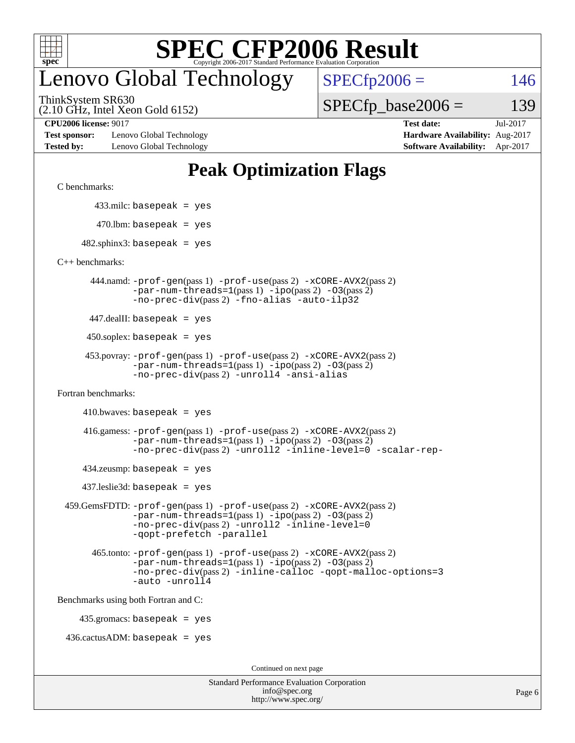

### enovo Global Technology

ThinkSystem SR630

(2.10 GHz, Intel Xeon Gold 6152)

 $SPECTp2006 = 146$ 

 $SPECTp\_base2006 = 139$ 

**[Test sponsor:](http://www.spec.org/auto/cpu2006/Docs/result-fields.html#Testsponsor)** Lenovo Global Technology **[Hardware Availability:](http://www.spec.org/auto/cpu2006/Docs/result-fields.html#HardwareAvailability)** Aug-2017 **[Tested by:](http://www.spec.org/auto/cpu2006/Docs/result-fields.html#Testedby)** Lenovo Global Technology **[Software Availability:](http://www.spec.org/auto/cpu2006/Docs/result-fields.html#SoftwareAvailability)** Apr-2017

**[CPU2006 license:](http://www.spec.org/auto/cpu2006/Docs/result-fields.html#CPU2006license)** 9017 **[Test date:](http://www.spec.org/auto/cpu2006/Docs/result-fields.html#Testdate)** Jul-2017

### **[Peak Optimization Flags](http://www.spec.org/auto/cpu2006/Docs/result-fields.html#PeakOptimizationFlags)**

[C benchmarks](http://www.spec.org/auto/cpu2006/Docs/result-fields.html#Cbenchmarks):

433.milc: basepeak = yes

 $470$ .lbm: basepeak = yes

 $482$ .sphinx3: basepeak = yes

[C++ benchmarks:](http://www.spec.org/auto/cpu2006/Docs/result-fields.html#CXXbenchmarks)

 444.namd: [-prof-gen](http://www.spec.org/cpu2006/results/res2017q4/cpu2006-20170918-49527.flags.html#user_peakPASS1_CXXFLAGSPASS1_LDFLAGS444_namd_prof_gen_e43856698f6ca7b7e442dfd80e94a8fc)(pass 1) [-prof-use](http://www.spec.org/cpu2006/results/res2017q4/cpu2006-20170918-49527.flags.html#user_peakPASS2_CXXFLAGSPASS2_LDFLAGS444_namd_prof_use_bccf7792157ff70d64e32fe3e1250b55)(pass 2) [-xCORE-AVX2](http://www.spec.org/cpu2006/results/res2017q4/cpu2006-20170918-49527.flags.html#user_peakPASS2_CXXFLAGSPASS2_LDFLAGS444_namd_f-xCORE-AVX2)(pass 2)  $-par-num-threads=1(pass 1) -ipo(pass 2) -O3(pass 2)$  $-par-num-threads=1(pass 1) -ipo(pass 2) -O3(pass 2)$  $-par-num-threads=1(pass 1) -ipo(pass 2) -O3(pass 2)$  $-par-num-threads=1(pass 1) -ipo(pass 2) -O3(pass 2)$  $-par-num-threads=1(pass 1) -ipo(pass 2) -O3(pass 2)$  $-par-num-threads=1(pass 1) -ipo(pass 2) -O3(pass 2)$ [-no-prec-div](http://www.spec.org/cpu2006/results/res2017q4/cpu2006-20170918-49527.flags.html#user_peakPASS2_CXXFLAGSPASS2_LDFLAGS444_namd_f-no-prec-div)(pass 2) [-fno-alias](http://www.spec.org/cpu2006/results/res2017q4/cpu2006-20170918-49527.flags.html#user_peakCXXOPTIMIZEOPTIMIZE444_namd_f-no-alias_694e77f6c5a51e658e82ccff53a9e63a) [-auto-ilp32](http://www.spec.org/cpu2006/results/res2017q4/cpu2006-20170918-49527.flags.html#user_peakCXXOPTIMIZE444_namd_f-auto-ilp32)

447.dealII: basepeak = yes

 $450$ .soplex: basepeak = yes

```
 453.povray: -prof-gen(pass 1) -prof-use(pass 2) -xCORE-AVX2(pass 2)
         -par-num-threads=1-ipo-O3(pass 2)-no-prec-div(pass 2) -unroll4 -ansi-alias
```
[Fortran benchmarks](http://www.spec.org/auto/cpu2006/Docs/result-fields.html#Fortranbenchmarks):

 $410.bwaves: basepeak = yes$ 

 416.gamess: [-prof-gen](http://www.spec.org/cpu2006/results/res2017q4/cpu2006-20170918-49527.flags.html#user_peakPASS1_FFLAGSPASS1_LDFLAGS416_gamess_prof_gen_e43856698f6ca7b7e442dfd80e94a8fc)(pass 1) [-prof-use](http://www.spec.org/cpu2006/results/res2017q4/cpu2006-20170918-49527.flags.html#user_peakPASS2_FFLAGSPASS2_LDFLAGS416_gamess_prof_use_bccf7792157ff70d64e32fe3e1250b55)(pass 2) [-xCORE-AVX2](http://www.spec.org/cpu2006/results/res2017q4/cpu2006-20170918-49527.flags.html#user_peakPASS2_FFLAGSPASS2_LDFLAGS416_gamess_f-xCORE-AVX2)(pass 2)  $-par-num-threads=1(pass 1) -ipo(pass 2) -O3(pass 2)$  $-par-num-threads=1(pass 1) -ipo(pass 2) -O3(pass 2)$  $-par-num-threads=1(pass 1) -ipo(pass 2) -O3(pass 2)$  $-par-num-threads=1(pass 1) -ipo(pass 2) -O3(pass 2)$  $-par-num-threads=1(pass 1) -ipo(pass 2) -O3(pass 2)$  $-par-num-threads=1(pass 1) -ipo(pass 2) -O3(pass 2)$ [-no-prec-div](http://www.spec.org/cpu2006/results/res2017q4/cpu2006-20170918-49527.flags.html#user_peakPASS2_FFLAGSPASS2_LDFLAGS416_gamess_f-no-prec-div)(pass 2) [-unroll2](http://www.spec.org/cpu2006/results/res2017q4/cpu2006-20170918-49527.flags.html#user_peakOPTIMIZE416_gamess_f-unroll_784dae83bebfb236979b41d2422d7ec2) [-inline-level=0](http://www.spec.org/cpu2006/results/res2017q4/cpu2006-20170918-49527.flags.html#user_peakOPTIMIZE416_gamess_f-inline-level_318d07a09274ad25e8d15dbfaa68ba50) [-scalar-rep-](http://www.spec.org/cpu2006/results/res2017q4/cpu2006-20170918-49527.flags.html#user_peakOPTIMIZE416_gamess_f-disablescalarrep_abbcad04450fb118e4809c81d83c8a1d)

 $434$ .zeusmp: basepeak = yes

437.leslie3d: basepeak = yes

```
 459.GemsFDTD: -prof-gen(pass 1) -prof-use(pass 2) -xCORE-AVX2(pass 2)
            -par-num-threads=1-ipo-O3(pass 2)-no-prec-div(pass 2) -unroll2 -inline-level=0
            -qopt-prefetch -parallel
```

```
 465.tonto: -prof-gen(pass 1) -prof-use(pass 2) -xCORE-AVX2(pass 2)
       -par-num-threads=1-ipo-O3(pass 2)-no-prec-div-inline-calloc-qopt-malloc-options=3
       -auto -unroll4
```
[Benchmarks using both Fortran and C](http://www.spec.org/auto/cpu2006/Docs/result-fields.html#BenchmarksusingbothFortranandC):

435.gromacs: basepeak = yes

 $436.cactusADM:basepeak = yes$ 

Continued on next page

| <b>Standard Performance Evaluation Corporation</b> |
|----------------------------------------------------|
| info@spec.org                                      |
| http://www.spec.org/                               |